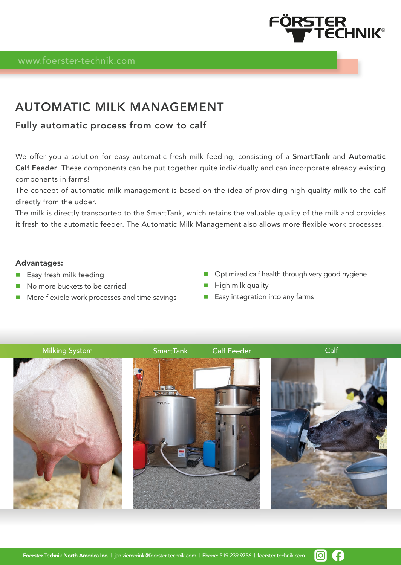

# AUTOMATIC MILK MANAGEMENT

# Fully automatic process from cow to calf

We offer you a solution for easy automatic fresh milk feeding, consisting of a SmartTank and Automatic Calf Feeder. These components can be put together quite individually and can incorporate already existing components in farms!

The concept of automatic milk management is based on the idea of providing high quality milk to the calf directly from the udder.

The milk is directly transported to the SmartTank, which retains the valuable quality of the milk and provides it fresh to the automatic feeder. The Automatic Milk Management also allows more flexible work processes.

# Advantages:

- **Easy fresh milk feeding**
- No more buckets to be carried
- **More flexible work processes and time savings**
- **Department Optimized calf health through very good hygiene**
- $\blacksquare$  High milk quality
- **Easy integration into any farms**